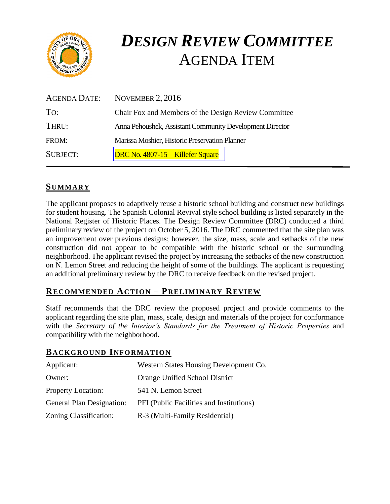

# *DESIGN REVIEW COMMITTEE*  AGENDA ITEM

| AGENDA DATE:    | NOVEMBER $2,2016$                                        |
|-----------------|----------------------------------------------------------|
| To:             | Chair Fox and Members of the Design Review Committee     |
| THRU:           | Anna Pehoushek, Assistant Community Development Director |
| FROM:           | Marissa Moshier, Historic Preservation Planner           |
| <b>SUBJECT:</b> | DRC No. 4807-15 – Killefer Square                        |

# **SUMMARY**

The applicant proposes to adaptively reuse a historic school building and construct new buildings for student housing. The Spanish Colonial Revival style school building is listed separately in the National Register of Historic Places. The Design Review Committee (DRC) conducted a third preliminary review of the project on October 5, 2016. The DRC commented that the site plan was an improvement over previous designs; however, the size, mass, scale and setbacks of the new construction did not appear to be compatible with the historic school or the surrounding neighborhood. The applicant revised the project by increasing the setbacks of the new construction on N. Lemon Street and reducing the height of some of the buildings. The applicant is requesting an additional preliminary review by the DRC to receive feedback on the revised project.

# **RECOMMENDED ACTION – PRELIMINARY REVIEW**

Staff recommends that the DRC review the proposed project and provide comments to the applicant regarding the site plan, mass, scale, design and materials of the project for conformance with the *Secretary of the Interior's Standards for the Treatment of Historic Properties* and compatibility with the neighborhood.

#### **BACKGROUND INFORMATION**

| Applicant:                       | Western States Housing Development Co.   |
|----------------------------------|------------------------------------------|
| Owner:                           | Orange Unified School District           |
| <b>Property Location:</b>        | 541 N. Lemon Street                      |
| <b>General Plan Designation:</b> | PFI (Public Facilities and Institutions) |
| Zoning Classification:           | R-3 (Multi-Family Residential)           |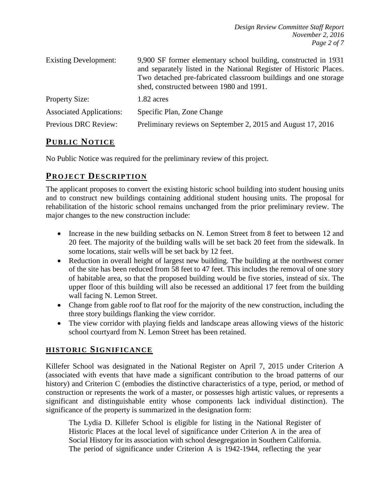| <b>Existing Development:</b>    | 9,900 SF former elementary school building, constructed in 1931<br>and separately listed in the National Register of Historic Places.<br>Two detached pre-fabricated classroom buildings and one storage<br>shed, constructed between 1980 and 1991. |  |
|---------------------------------|------------------------------------------------------------------------------------------------------------------------------------------------------------------------------------------------------------------------------------------------------|--|
| <b>Property Size:</b>           | 1.82 acres                                                                                                                                                                                                                                           |  |
| <b>Associated Applications:</b> | Specific Plan, Zone Change                                                                                                                                                                                                                           |  |
| Previous DRC Review:            | Preliminary reviews on September 2, 2015 and August 17, 2016                                                                                                                                                                                         |  |

# **PUB LIC NOTICE**

No Public Notice was required for the preliminary review of this project.

# **PROJECT DESCRIP TION**

The applicant proposes to convert the existing historic school building into student housing units and to construct new buildings containing additional student housing units. The proposal for rehabilitation of the historic school remains unchanged from the prior preliminary review. The major changes to the new construction include:

- Increase in the new building setbacks on N. Lemon Street from 8 feet to between 12 and 20 feet. The majority of the building walls will be set back 20 feet from the sidewalk. In some locations, stair wells will be set back by 12 feet.
- Reduction in overall height of largest new building. The building at the northwest corner of the site has been reduced from 58 feet to 47 feet. This includes the removal of one story of habitable area, so that the proposed building would be five stories, instead of six. The upper floor of this building will also be recessed an additional 17 feet from the building wall facing N. Lemon Street.
- Change from gable roof to flat roof for the majority of the new construction, including the three story buildings flanking the view corridor.
- The view corridor with playing fields and landscape areas allowing views of the historic school courtyard from N. Lemon Street has been retained.

# **HISTORIC SIGNIFICANCE**

Killefer School was designated in the National Register on April 7, 2015 under Criterion A (associated with events that have made a significant contribution to the broad patterns of our history) and Criterion C (embodies the distinctive characteristics of a type, period, or method of construction or represents the work of a master, or possesses high artistic values, or represents a significant and distinguishable entity whose components lack individual distinction). The significance of the property is summarized in the designation form:

The Lydia D. Killefer School is eligible for listing in the National Register of Historic Places at the local level of significance under Criterion A in the area of Social History for its association with school desegregation in Southern California. The period of significance under Criterion A is 1942-1944, reflecting the year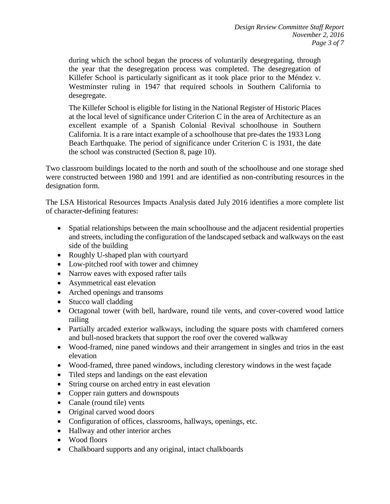during which the school began the process of voluntarily desegregating, through the year that the desegregation process was completed. The desegregation of Killefer School is particularly significant as it took place prior to the Méndez v. Westminster ruling in 1947 that required schools in Southern California to desegregate.

The Killefer School is eligible for listing in the National Register of Historic Places at the local level of significance under Criterion C in the area of Architecture as an excellent example of a Spanish Colonial Revival schoolhouse in Southern California. It is a rare intact example of a schoolhouse that pre-dates the 1933 Long Beach Earthquake. The period of significance under Criterion C is 1931, the date the school was constructed (Section 8, page 10).

Two classroom buildings located to the north and south of the schoolhouse and one storage shed were constructed between 1980 and 1991 and are identified as non-contributing resources in the designation form.

The LSA Historical Resources Impacts Analysis dated July 2016 identifies a more complete list of character-defining features:

- Spatial relationships between the main schoolhouse and the adjacent residential properties and streets, including the configuration of the landscaped setback and walkways on the east side of the building
- Roughly U-shaped plan with courtyard
- Low-pitched roof with tower and chimney
- Narrow eaves with exposed rafter tails
- Asymmetrical east elevation
- Arched openings and transoms
- Stucco wall cladding
- Octagonal tower (with bell, hardware, round tile vents, and cover-covered wood lattice railing
- Partially arcaded exterior walkways, including the square posts with chamfered corners and bull-nosed brackets that support the roof over the covered walkway
- Wood-framed, nine paned windows and their arrangement in singles and trios in the east elevation
- Wood-framed, three paned windows, including clerestory windows in the west façade
- Tiled steps and landings on the east elevation
- String course on arched entry in east elevation
- Copper rain gutters and downspouts
- Canale (round tile) vents
- Original carved wood doors
- Configuration of offices, classrooms, hallways, openings, etc.
- Hallway and other interior arches
- Wood floors
- Chalkboard supports and any original, intact chalkboards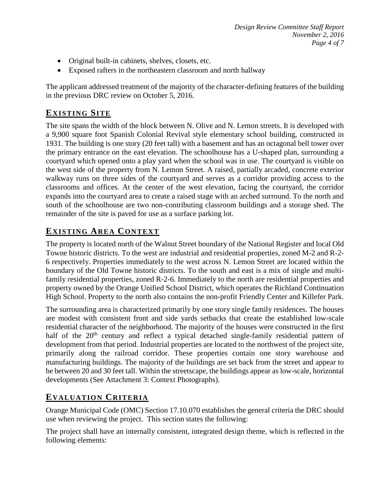- Original built-in cabinets, shelves, closets, etc.
- Exposed rafters in the northeastern classroom and north hallway

The applicant addressed treatment of the majority of the character-defining features of the building in the previous DRC review on October 5, 2016.

# **EXISTING SITE**

The site spans the width of the block between N. Olive and N. Lemon streets. It is developed with a 9,900 square foot Spanish Colonial Revival style elementary school building, constructed in 1931. The building is one story (20 feet tall) with a basement and has an octagonal bell tower over the primary entrance on the east elevation. The schoolhouse has a U-shaped plan, surrounding a courtyard which opened onto a play yard when the school was in use. The courtyard is visible on the west side of the property from N. Lemon Street. A raised, partially arcaded, concrete exterior walkway runs on three sides of the courtyard and serves as a corridor providing access to the classrooms and offices. At the center of the west elevation, facing the courtyard, the corridor expands into the courtyard area to create a raised stage with an arched surround. To the north and south of the schoolhouse are two non-contributing classroom buildings and a storage shed. The remainder of the site is paved for use as a surface parking lot.

# **EXISTING AREA CONTEXT**

The property is located north of the Walnut Street boundary of the National Register and local Old Towne historic districts. To the west are industrial and residential properties, zoned M-2 and R-2- 6 respectively. Properties immediately to the west across N. Lemon Street are located within the boundary of the Old Towne historic districts. To the south and east is a mix of single and multifamily residential properties, zoned R-2-6. Immediately to the north are residential properties and property owned by the Orange Unified School District, which operates the Richland Continuation High School. Property to the north also contains the non-profit Friendly Center and Killefer Park.

The surrounding area is characterized primarily by one story single family residences. The houses are modest with consistent front and side yards setbacks that create the established low-scale residential character of the neighborhood. The majority of the houses were constructed in the first half of the  $20<sup>th</sup>$  century and reflect a typical detached single-family residential pattern of development from that period. Industrial properties are located to the northwest of the project site, primarily along the railroad corridor. These properties contain one story warehouse and manufacturing buildings. The majority of the buildings are set back from the street and appear to be between 20 and 30 feet tall. Within the streetscape, the buildings appear as low-scale, horizontal developments (See Attachment 3: Context Photographs).

# **EVALUATION CRITERIA**

Orange Municipal Code (OMC) Section 17.10.070 establishes the general criteria the DRC should use when reviewing the project. This section states the following:

The project shall have an internally consistent, integrated design theme, which is reflected in the following elements: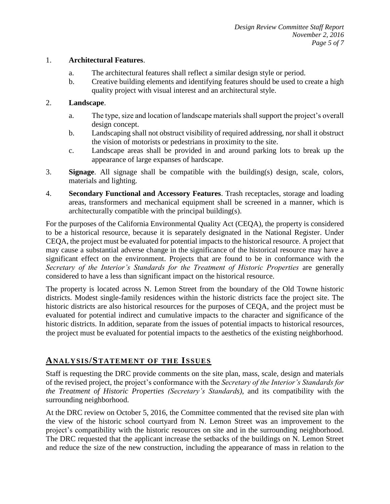#### 1. **Architectural Features**.

- a. The architectural features shall reflect a similar design style or period.
- b. Creative building elements and identifying features should be used to create a high quality project with visual interest and an architectural style.

#### 2. **Landscape**.

- a. The type, size and location of landscape materials shall support the project's overall design concept.
- b. Landscaping shall not obstruct visibility of required addressing, nor shall it obstruct the vision of motorists or pedestrians in proximity to the site.
- c. Landscape areas shall be provided in and around parking lots to break up the appearance of large expanses of hardscape.
- 3. **Signage**. All signage shall be compatible with the building(s) design, scale, colors, materials and lighting.
- 4. **Secondary Functional and Accessory Features**. Trash receptacles, storage and loading areas, transformers and mechanical equipment shall be screened in a manner, which is architecturally compatible with the principal building(s).

For the purposes of the California Environmental Quality Act (CEQA), the property is considered to be a historical resource, because it is separately designated in the National Register. Under CEQA, the project must be evaluated for potential impacts to the historical resource. A project that may cause a substantial adverse change in the significance of the historical resource may have a significant effect on the environment. Projects that are found to be in conformance with the *Secretary of the Interior's Standards for the Treatment of Historic Properties* are generally considered to have a less than significant impact on the historical resource.

The property is located across N. Lemon Street from the boundary of the Old Towne historic districts. Modest single-family residences within the historic districts face the project site. The historic districts are also historical resources for the purposes of CEQA, and the project must be evaluated for potential indirect and cumulative impacts to the character and significance of the historic districts. In addition, separate from the issues of potential impacts to historical resources, the project must be evaluated for potential impacts to the aesthetics of the existing neighborhood.

# **ANALY SIS/STATEMENT OF THE ISSUES**

Staff is requesting the DRC provide comments on the site plan, mass, scale, design and materials of the revised project, the project's conformance with the *Secretary of the Interior's Standards for the Treatment of Historic Properties (Secretary's Standards)*, and its compatibility with the surrounding neighborhood.

At the DRC review on October 5, 2016, the Committee commented that the revised site plan with the view of the historic school courtyard from N. Lemon Street was an improvement to the project's compatibility with the historic resources on site and in the surrounding neighborhood. The DRC requested that the applicant increase the setbacks of the buildings on N. Lemon Street and reduce the size of the new construction, including the appearance of mass in relation to the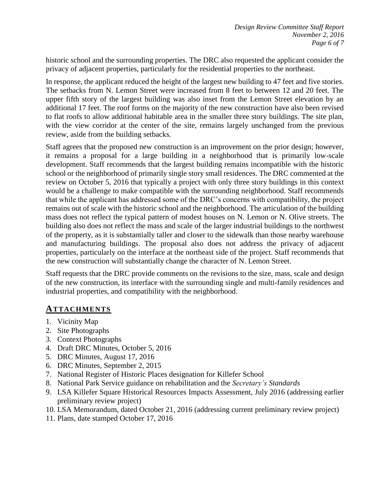historic school and the surrounding properties. The DRC also requested the applicant consider the privacy of adjacent properties, particularly for the residential properties to the northeast.

In response, the applicant reduced the height of the largest new building to 47 feet and five stories. The setbacks from N. Lemon Street were increased from 8 feet to between 12 and 20 feet. The upper fifth story of the largest building was also inset from the Lemon Street elevation by an additional 17 feet. The roof forms on the majority of the new construction have also been revised to flat roofs to allow additional habitable area in the smaller three story buildings. The site plan, with the view corridor at the center of the site, remains largely unchanged from the previous review, aside from the building setbacks.

Staff agrees that the proposed new construction is an improvement on the prior design; however, it remains a proposal for a large building in a neighborhood that is primarily low-scale development. Staff recommends that the largest building remains incompatible with the historic school or the neighborhood of primarily single story small residences. The DRC commented at the review on October 5, 2016 that typically a project with only three story buildings in this context would be a challenge to make compatible with the surrounding neighborhood. Staff recommends that while the applicant has addressed some of the DRC's concerns with compatibility, the project remains out of scale with the historic school and the neighborhood. The articulation of the building mass does not reflect the typical pattern of modest houses on N. Lemon or N. Olive streets. The building also does not reflect the mass and scale of the larger industrial buildings to the northwest of the property, as it is substantially taller and closer to the sidewalk than those nearby warehouse and manufacturing buildings. The proposal also does not address the privacy of adjacent properties, particularly on the interface at the northeast side of the project. Staff recommends that the new construction will substantially change the character of N. Lemon Street.

Staff requests that the DRC provide comments on the revisions to the size, mass, scale and design of the new construction, its interface with the surrounding single and multi-family residences and industrial properties, and compatibility with the neighborhood.

# **ATTACHMENTS**

- 1. Vicinity Map
- 2. Site Photographs
- 3. Context Photographs
- 4. Draft DRC Minutes, October 5, 2016
- 5. DRC Minutes, August 17, 2016
- 6. DRC Minutes, September 2, 2015
- 7. National Register of Historic Places designation for Killefer School
- 8. National Park Service guidance on rehabilitation and the *Secretary's Standards*
- 9. LSA Killefer Square Historical Resources Impacts Assessment, July 2016 (addressing earlier preliminary review project)
- 10. LSA Memorandum, dated October 21, 2016 (addressing current preliminary review project)
- 11. Plans, date stamped October 17, 2016